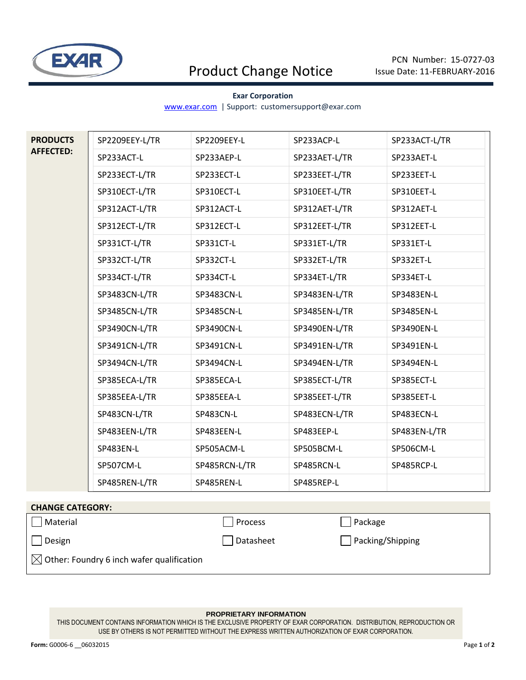

# Product Change Notice

### **Exar Corporation**

[www.exar.com](http://www.exar.com/) | Support: customersupport@exar.com

| <b>PRODUCTS</b><br><b>AFFECTED:</b> | SP2209EEY-L/TR | SP2209EEY-L   | SP233ACP-L    | SP233ACT-L/TR |
|-------------------------------------|----------------|---------------|---------------|---------------|
|                                     | SP233ACT-L     | SP233AEP-L    | SP233AET-L/TR | SP233AET-L    |
|                                     | SP233ECT-L/TR  | SP233ECT-L    | SP233EET-L/TR | SP233EET-L    |
|                                     | SP310ECT-L/TR  | SP310ECT-L    | SP310EET-L/TR | SP310EET-L    |
|                                     | SP312ACT-L/TR  | SP312ACT-L    | SP312AET-L/TR | SP312AET-L    |
|                                     | SP312ECT-L/TR  | SP312ECT-L    | SP312EET-L/TR | SP312EET-L    |
|                                     | SP331CT-L/TR   | SP331CT-L     | SP331ET-L/TR  | SP331ET-L     |
|                                     | SP332CT-L/TR   | SP332CT-L     | SP332ET-L/TR  | SP332ET-L     |
|                                     | SP334CT-L/TR   | SP334CT-L     | SP334ET-L/TR  | SP334ET-L     |
|                                     | SP3483CN-L/TR  | SP3483CN-L    | SP3483EN-L/TR | SP3483EN-L    |
|                                     | SP3485CN-L/TR  | SP3485CN-L    | SP3485EN-L/TR | SP3485EN-L    |
|                                     | SP3490CN-L/TR  | SP3490CN-L    | SP3490EN-L/TR | SP3490EN-L    |
|                                     | SP3491CN-L/TR  | SP3491CN-L    | SP3491EN-L/TR | SP3491EN-L    |
|                                     | SP3494CN-L/TR  | SP3494CN-L    | SP3494EN-L/TR | SP3494EN-L    |
|                                     | SP385ECA-L/TR  | SP385ECA-L    | SP385ECT-L/TR | SP385ECT-L    |
|                                     | SP385EEA-L/TR  | SP385EEA-L    | SP385EET-L/TR | SP385EET-L    |
|                                     | SP483CN-L/TR   | SP483CN-L     | SP483ECN-L/TR | SP483ECN-L    |
|                                     | SP483EEN-L/TR  | SP483EEN-L    | SP483EEP-L    | SP483EN-L/TR  |
|                                     | SP483EN-L      | SP505ACM-L    | SP505BCM-L    | SP506CM-L     |
|                                     | SP507CM-L      | SP485RCN-L/TR | SP485RCN-L    | SP485RCP-L    |
|                                     | SP485REN-L/TR  | SP485REN-L    | SP485REP-L    |               |

#### **CHANGE CATEGORY:**

Material Process and Definition of the Material Process and Package

Design Design Datasheet Datasheet Packing/Shipping

 $\boxtimes$  Other: Foundry 6 inch wafer qualification

#### **PROPRIETARY INFORMATION**

THIS DOCUMENT CONTAINS INFORMATION WHICH IS THE EXCLUSIVE PROPERTY OF EXAR CORPORATION. DISTRIBUTION, REPRODUCTION OR USE BY OTHERS IS NOT PERMITTED WITHOUT THE EXPRESS WRITTEN AUTHORIZATION OF EXAR CORPORATION.